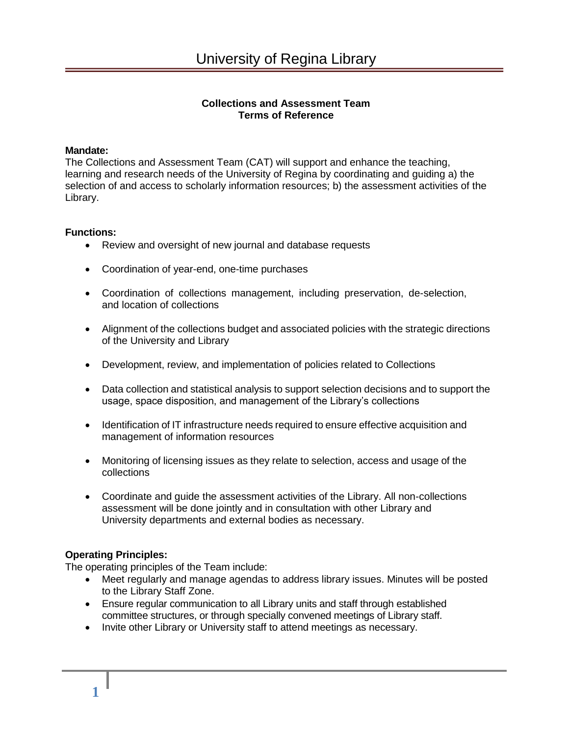# **Collections and Assessment Team Terms of Reference**

#### **Mandate:**

The Collections and Assessment Team (CAT) will support and enhance the teaching, learning and research needs of the University of Regina by coordinating and guiding a) the selection of and access to scholarly information resources; b) the assessment activities of the Library.

### **Functions:**

- Review and oversight of new journal and database requests
- Coordination of year-end, one-time purchases
- Coordination of collections management, including preservation, de-selection, and location of collections
- Alignment of the collections budget and associated policies with the strategic directions of the University and Library
- Development, review, and implementation of policies related to Collections
- Data collection and statistical analysis to support selection decisions and to support the usage, space disposition, and management of the Library's collections
- Identification of IT infrastructure needs required to ensure effective acquisition and management of information resources
- Monitoring of licensing issues as they relate to selection, access and usage of the collections
- Coordinate and guide the assessment activities of the Library. All non-collections assessment will be done jointly and in consultation with other Library and University departments and external bodies as necessary.

## **Operating Principles:**

The operating principles of the Team include:

- Meet regularly and manage agendas to address library issues. Minutes will be posted to the Library Staff Zone.
- Ensure regular communication to all Library units and staff through established committee structures, or through specially convened meetings of Library staff.
- Invite other Library or University staff to attend meetings as necessary.